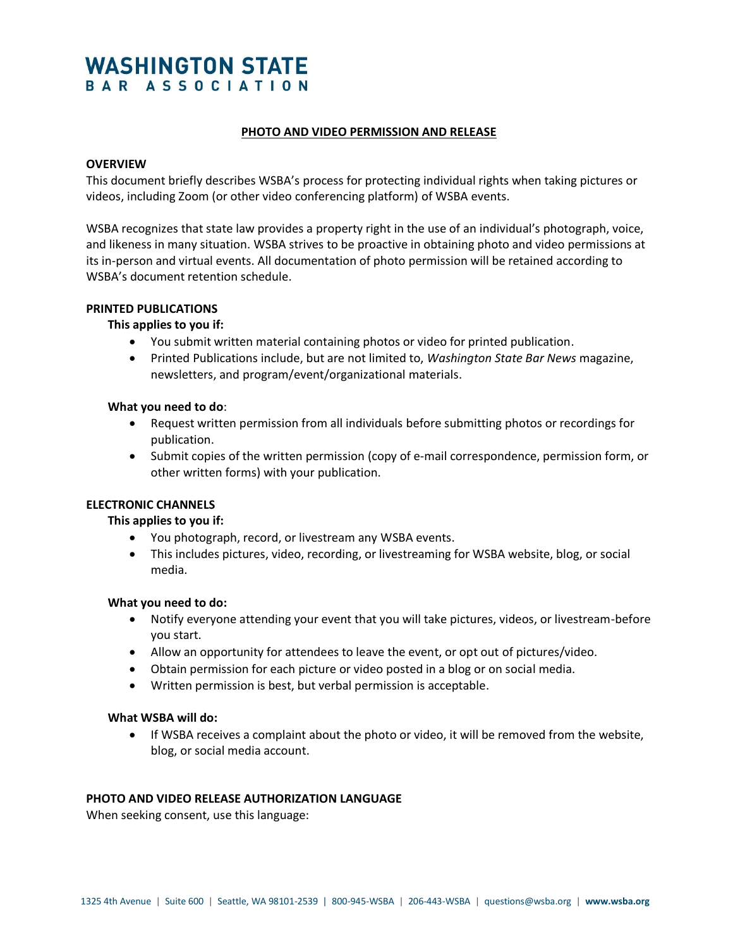# **WASHINGTON STATE** BAR ASSOCIATION

## **PHOTO AND VIDEO PERMISSION AND RELEASE**

## **OVERVIEW**

This document briefly describes WSBA's process for protecting individual rights when taking pictures or videos, including Zoom (or other video conferencing platform) of WSBA events.

WSBA recognizes that state law provides a property right in the use of an individual's photograph, voice, and likeness in many situation. WSBA strives to be proactive in obtaining photo and video permissions at its in-person and virtual events. All documentation of photo permission will be retained according to WSBA's document retention schedule.

# **PRINTED PUBLICATIONS**

# **This applies to you if:**

- You submit written material containing photos or video for printed publication.
- Printed Publications include, but are not limited to, *Washington State Bar News* magazine, newsletters, and program/event/organizational materials.

#### **What you need to do**:

- Request written permission from all individuals before submitting photos or recordings for publication.
- Submit copies of the written permission (copy of e-mail correspondence, permission form, or other written forms) with your publication.

#### **ELECTRONIC CHANNELS**

#### **This applies to you if:**

- You photograph, record, or livestream any WSBA events.
- This includes pictures, video, recording, or livestreaming for WSBA website, blog, or social media.

#### **What you need to do:**

- Notify everyone attending your event that you will take pictures, videos, or livestream-before you start.
- Allow an opportunity for attendees to leave the event, or opt out of pictures/video.
- Obtain permission for each picture or video posted in a blog or on social media.
- Written permission is best, but verbal permission is acceptable.

#### **What WSBA will do:**

• If WSBA receives a complaint about the photo or video, it will be removed from the website, blog, or social media account.

#### **PHOTO AND VIDEO RELEASE AUTHORIZATION LANGUAGE**

When seeking consent, use this language: